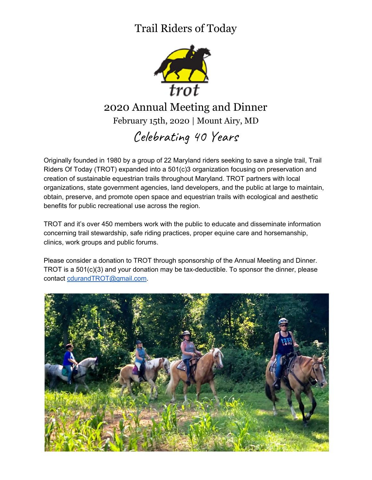### Trail Riders of Today



#### 2020 Annual Meeting and Dinner February 15th, 2020 | Mount Airy, MD

## Celebrating 40 Years

Originally founded in 1980 by a group of 22 Maryland riders seeking to save a single trail, Trail Riders Of Today (TROT) expanded into a 501(c)3 organization focusing on preservation and creation of sustainable equestrian trails throughout Maryland. TROT partners with local organizations, state government agencies, land developers, and the public at large to maintain, obtain, preserve, and promote open space and equestrian trails with ecological and aesthetic benefits for public recreational use across the region.

TROT and it's over 450 members work with the public to educate and disseminate information concerning trail stewardship, safe riding practices, proper equine care and horsemanship, clinics, work groups and public forums.

Please consider a donation to TROT through sponsorship of the Annual Meeting and Dinner. TROT is a 501(c)(3) and your donation may be tax-deductible. To sponsor the dinner, please contact [cdurandTROT@gmail.com.](mailto:cdurandTROT@gmail.com)